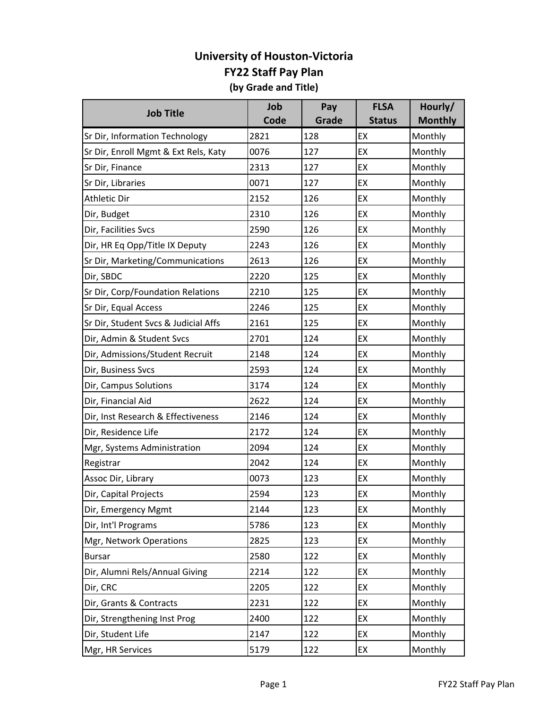| <b>Job Title</b>                     | Job  | Pay   | <b>FLSA</b>   | Hourly/        |
|--------------------------------------|------|-------|---------------|----------------|
|                                      | Code | Grade | <b>Status</b> | <b>Monthly</b> |
| Sr Dir, Information Technology       | 2821 | 128   | EX            | Monthly        |
| Sr Dir, Enroll Mgmt & Ext Rels, Katy | 0076 | 127   | EX            | Monthly        |
| Sr Dir, Finance                      | 2313 | 127   | EX            | Monthly        |
| Sr Dir, Libraries                    | 0071 | 127   | EX            | Monthly        |
| <b>Athletic Dir</b>                  | 2152 | 126   | EX            | Monthly        |
| Dir, Budget                          | 2310 | 126   | EX            | Monthly        |
| Dir, Facilities Svcs                 | 2590 | 126   | EX            | Monthly        |
| Dir, HR Eq Opp/Title IX Deputy       | 2243 | 126   | EX            | Monthly        |
| Sr Dir, Marketing/Communications     | 2613 | 126   | EX            | Monthly        |
| Dir, SBDC                            | 2220 | 125   | EX            | Monthly        |
| Sr Dir, Corp/Foundation Relations    | 2210 | 125   | EX            | Monthly        |
| Sr Dir, Equal Access                 | 2246 | 125   | EX            | Monthly        |
| Sr Dir, Student Svcs & Judicial Affs | 2161 | 125   | EX            | Monthly        |
| Dir, Admin & Student Svcs            | 2701 | 124   | EX            | Monthly        |
| Dir, Admissions/Student Recruit      | 2148 | 124   | EX            | Monthly        |
| Dir, Business Svcs                   | 2593 | 124   | EX            | Monthly        |
| Dir, Campus Solutions                | 3174 | 124   | EX            | Monthly        |
| Dir, Financial Aid                   | 2622 | 124   | EX            | Monthly        |
| Dir, Inst Research & Effectiveness   | 2146 | 124   | EX            | Monthly        |
| Dir, Residence Life                  | 2172 | 124   | EX            | Monthly        |
| Mgr, Systems Administration          | 2094 | 124   | EX            | Monthly        |
| Registrar                            | 2042 | 124   | EX            | Monthly        |
| Assoc Dir, Library                   | 0073 | 123   | EX            | Monthly        |
| Dir, Capital Projects                | 2594 | 123   | EX            | Monthly        |
| Dir, Emergency Mgmt                  | 2144 | 123   | EX            | Monthly        |
| Dir, Int'l Programs                  | 5786 | 123   | EX            | Monthly        |
| Mgr, Network Operations              | 2825 | 123   | EX            | Monthly        |
| <b>Bursar</b>                        | 2580 | 122   | EX            | Monthly        |
| Dir, Alumni Rels/Annual Giving       | 2214 | 122   | EX            | Monthly        |
| Dir, CRC                             | 2205 | 122   | EX            | Monthly        |
| Dir, Grants & Contracts              | 2231 | 122   | EX            | Monthly        |
| Dir, Strengthening Inst Prog         | 2400 | 122   | EX            | Monthly        |
| Dir, Student Life                    | 2147 | 122   | EX            | Monthly        |
| Mgr, HR Services                     | 5179 | 122   | EX            | Monthly        |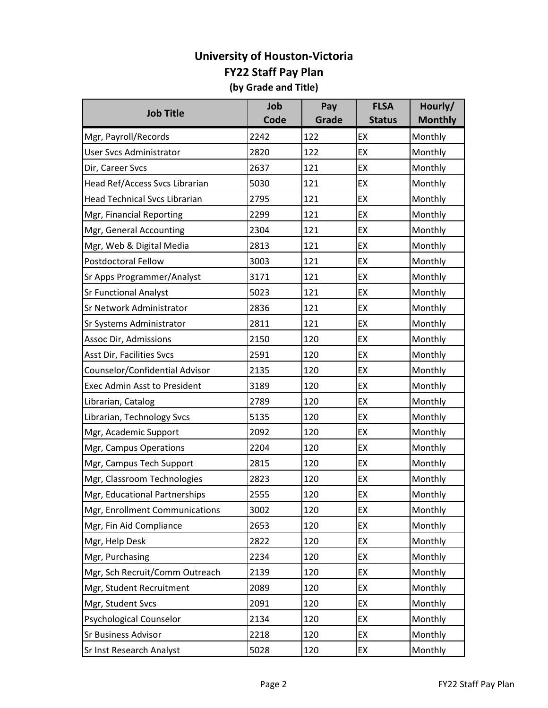| <b>Job Title</b>                     | Job  | Pay   | <b>FLSA</b>   | Hourly/        |
|--------------------------------------|------|-------|---------------|----------------|
|                                      | Code | Grade | <b>Status</b> | <b>Monthly</b> |
| Mgr, Payroll/Records                 | 2242 | 122   | EX            | Monthly        |
| <b>User Svcs Administrator</b>       | 2820 | 122   | EX            | Monthly        |
| Dir, Career Svcs                     | 2637 | 121   | EX            | Monthly        |
| Head Ref/Access Svcs Librarian       | 5030 | 121   | EX            | Monthly        |
| <b>Head Technical Svcs Librarian</b> | 2795 | 121   | EX            | Monthly        |
| Mgr, Financial Reporting             | 2299 | 121   | EX            | Monthly        |
| Mgr, General Accounting              | 2304 | 121   | EX            | Monthly        |
| Mgr, Web & Digital Media             | 2813 | 121   | EX            | Monthly        |
| <b>Postdoctoral Fellow</b>           | 3003 | 121   | EX            | Monthly        |
| Sr Apps Programmer/Analyst           | 3171 | 121   | EX            | Monthly        |
| <b>Sr Functional Analyst</b>         | 5023 | 121   | EX            | Monthly        |
| Sr Network Administrator             | 2836 | 121   | EX            | Monthly        |
| Sr Systems Administrator             | 2811 | 121   | EX            | Monthly        |
| Assoc Dir, Admissions                | 2150 | 120   | EX            | Monthly        |
| Asst Dir, Facilities Svcs            | 2591 | 120   | EX            | Monthly        |
| Counselor/Confidential Advisor       | 2135 | 120   | EX            | Monthly        |
| <b>Exec Admin Asst to President</b>  | 3189 | 120   | EX            | Monthly        |
| Librarian, Catalog                   | 2789 | 120   | EX            | Monthly        |
| Librarian, Technology Svcs           | 5135 | 120   | EX            | Monthly        |
| Mgr, Academic Support                | 2092 | 120   | EX            | Monthly        |
| Mgr, Campus Operations               | 2204 | 120   | EX            | Monthly        |
| Mgr, Campus Tech Support             | 2815 | 120   | EX            | Monthly        |
| Mgr, Classroom Technologies          | 2823 | 120   | EX            | Monthly        |
| Mgr, Educational Partnerships        | 2555 | 120   | EX            | Monthly        |
| Mgr, Enrollment Communications       | 3002 | 120   | EX            | Monthly        |
| Mgr, Fin Aid Compliance              | 2653 | 120   | EX            | Monthly        |
| Mgr, Help Desk                       | 2822 | 120   | EX            | Monthly        |
| Mgr, Purchasing                      | 2234 | 120   | EX            | Monthly        |
| Mgr, Sch Recruit/Comm Outreach       | 2139 | 120   | EX            | Monthly        |
| Mgr, Student Recruitment             | 2089 | 120   | EX            | Monthly        |
| Mgr, Student Svcs                    | 2091 | 120   | EX            | Monthly        |
| <b>Psychological Counselor</b>       | 2134 | 120   | EX            | Monthly        |
| <b>Sr Business Advisor</b>           | 2218 | 120   | EX            | Monthly        |
| Sr Inst Research Analyst             | 5028 | 120   | EX            | Monthly        |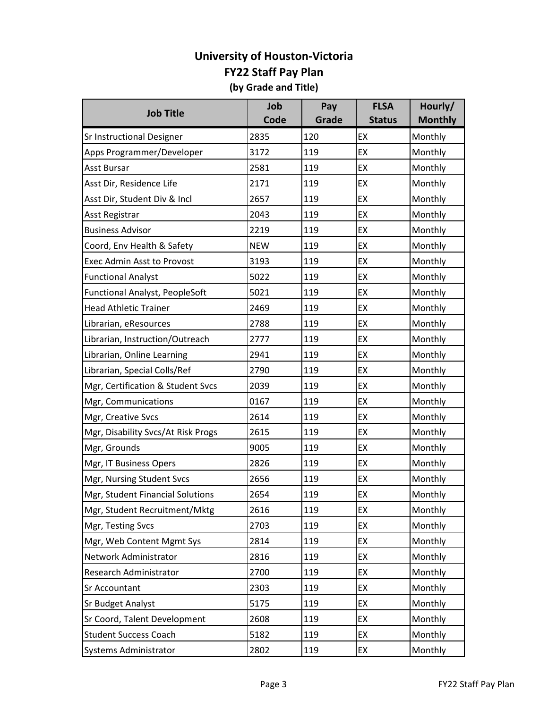| <b>Job Title</b>                   | Job        | Pay   | <b>FLSA</b>   | Hourly/        |
|------------------------------------|------------|-------|---------------|----------------|
|                                    | Code       | Grade | <b>Status</b> | <b>Monthly</b> |
| <b>Sr Instructional Designer</b>   | 2835       | 120   | EX            | Monthly        |
| Apps Programmer/Developer          | 3172       | 119   | EX            | Monthly        |
| <b>Asst Bursar</b>                 | 2581       | 119   | EX            | Monthly        |
| Asst Dir, Residence Life           | 2171       | 119   | EX            | Monthly        |
| Asst Dir, Student Div & Incl       | 2657       | 119   | EX            | Monthly        |
| <b>Asst Registrar</b>              | 2043       | 119   | EX            | Monthly        |
| <b>Business Advisor</b>            | 2219       | 119   | EX            | Monthly        |
| Coord, Env Health & Safety         | <b>NEW</b> | 119   | EX            | Monthly        |
| <b>Exec Admin Asst to Provost</b>  | 3193       | 119   | EX            | Monthly        |
| <b>Functional Analyst</b>          | 5022       | 119   | EX            | Monthly        |
| Functional Analyst, PeopleSoft     | 5021       | 119   | EX            | Monthly        |
| <b>Head Athletic Trainer</b>       | 2469       | 119   | EX            | Monthly        |
| Librarian, eResources              | 2788       | 119   | EX            | Monthly        |
| Librarian, Instruction/Outreach    | 2777       | 119   | EX            | Monthly        |
| Librarian, Online Learning         | 2941       | 119   | EX            | Monthly        |
| Librarian, Special Colls/Ref       | 2790       | 119   | EX            | Monthly        |
| Mgr, Certification & Student Svcs  | 2039       | 119   | EX            | Monthly        |
| Mgr, Communications                | 0167       | 119   | EX            | Monthly        |
| Mgr, Creative Svcs                 | 2614       | 119   | EX            | Monthly        |
| Mgr, Disability Svcs/At Risk Progs | 2615       | 119   | EX            | Monthly        |
| Mgr, Grounds                       | 9005       | 119   | EX            | Monthly        |
| Mgr, IT Business Opers             | 2826       | 119   | EX            | Monthly        |
| Mgr, Nursing Student Svcs          | 2656       | 119   | EX            | Monthly        |
| Mgr, Student Financial Solutions   | 2654       | 119   | EX            | Monthly        |
| Mgr, Student Recruitment/Mktg      | 2616       | 119   | EX            | Monthly        |
| Mgr, Testing Svcs                  | 2703       | 119   | EX            | Monthly        |
| Mgr, Web Content Mgmt Sys          | 2814       | 119   | EX            | Monthly        |
| Network Administrator              | 2816       | 119   | EX            | Monthly        |
| Research Administrator             | 2700       | 119   | EX            | Monthly        |
| Sr Accountant                      | 2303       | 119   | EX            | Monthly        |
| <b>Sr Budget Analyst</b>           | 5175       | 119   | EX            | Monthly        |
| Sr Coord, Talent Development       | 2608       | 119   | EX            | Monthly        |
| <b>Student Success Coach</b>       | 5182       | 119   | EX            | Monthly        |
| Systems Administrator              | 2802       | 119   | EX            | Monthly        |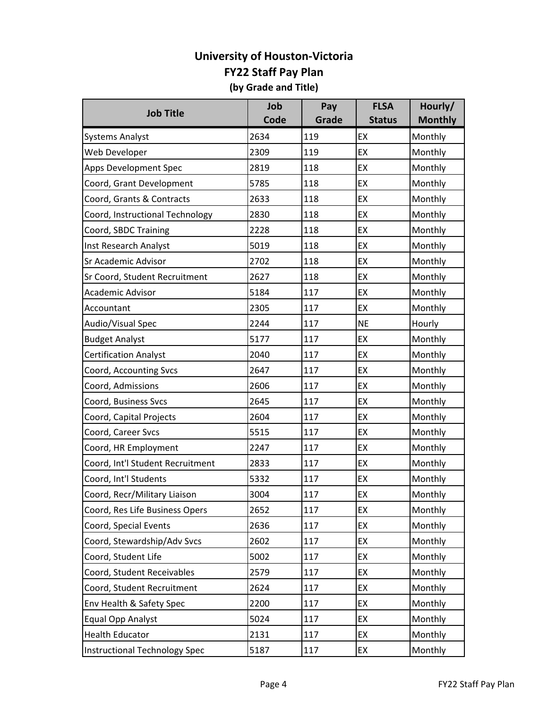| <b>Job Title</b>                     | Job  | Pay   | <b>FLSA</b>   | Hourly/        |
|--------------------------------------|------|-------|---------------|----------------|
|                                      | Code | Grade | <b>Status</b> | <b>Monthly</b> |
| <b>Systems Analyst</b>               | 2634 | 119   | EX            | Monthly        |
| Web Developer                        | 2309 | 119   | EX            | Monthly        |
| Apps Development Spec                | 2819 | 118   | EX            | Monthly        |
| Coord, Grant Development             | 5785 | 118   | EX            | Monthly        |
| Coord, Grants & Contracts            | 2633 | 118   | EX            | Monthly        |
| Coord, Instructional Technology      | 2830 | 118   | EX            | Monthly        |
| Coord, SBDC Training                 | 2228 | 118   | EX            | Monthly        |
| Inst Research Analyst                | 5019 | 118   | EX            | Monthly        |
| Sr Academic Advisor                  | 2702 | 118   | EX            | Monthly        |
| Sr Coord, Student Recruitment        | 2627 | 118   | EX            | Monthly        |
| Academic Advisor                     | 5184 | 117   | EX            | Monthly        |
| Accountant                           | 2305 | 117   | EX            | Monthly        |
| Audio/Visual Spec                    | 2244 | 117   | <b>NE</b>     | Hourly         |
| <b>Budget Analyst</b>                | 5177 | 117   | EX            | Monthly        |
| <b>Certification Analyst</b>         | 2040 | 117   | EX            | Monthly        |
| Coord, Accounting Svcs               | 2647 | 117   | EX            | Monthly        |
| Coord, Admissions                    | 2606 | 117   | EX            | Monthly        |
| Coord, Business Svcs                 | 2645 | 117   | EX            | Monthly        |
| Coord, Capital Projects              | 2604 | 117   | EX            | Monthly        |
| Coord, Career Svcs                   | 5515 | 117   | EX            | Monthly        |
| Coord, HR Employment                 | 2247 | 117   | EX            | Monthly        |
| Coord, Int'l Student Recruitment     | 2833 | 117   | EX            | Monthly        |
| Coord, Int'l Students                | 5332 | 117   | EX            | Monthly        |
| Coord, Recr/Military Liaison         | 3004 | 117   | EX            | Monthly        |
| Coord, Res Life Business Opers       | 2652 | 117   | EX            | Monthly        |
| Coord, Special Events                | 2636 | 117   | EX            | Monthly        |
| Coord, Stewardship/Adv Svcs          | 2602 | 117   | EX            | Monthly        |
| Coord, Student Life                  | 5002 | 117   | EX            | Monthly        |
| Coord, Student Receivables           | 2579 | 117   | EX            | Monthly        |
| Coord, Student Recruitment           | 2624 | 117   | EX            | Monthly        |
| Env Health & Safety Spec             | 2200 | 117   | EX            | Monthly        |
| <b>Equal Opp Analyst</b>             | 5024 | 117   | EX            | Monthly        |
| <b>Health Educator</b>               | 2131 | 117   | EX            | Monthly        |
| <b>Instructional Technology Spec</b> | 5187 | 117   | EX            | Monthly        |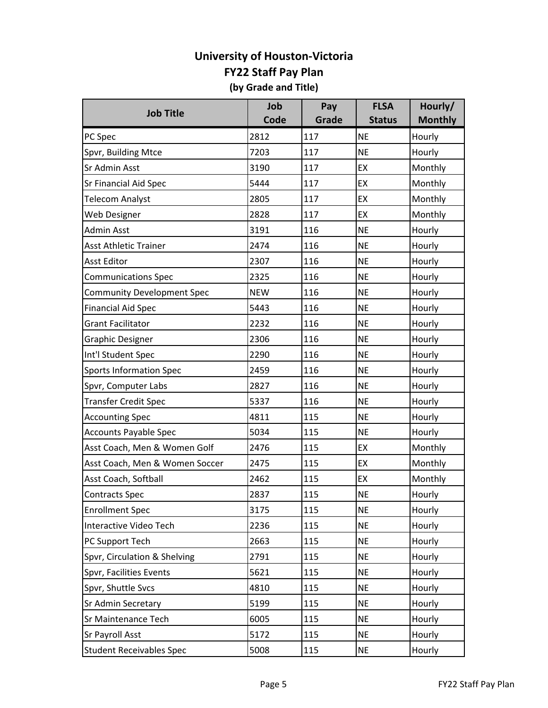| <b>Job Title</b>                  | Job        | Pay   | <b>FLSA</b>   | Hourly/        |
|-----------------------------------|------------|-------|---------------|----------------|
|                                   | Code       | Grade | <b>Status</b> | <b>Monthly</b> |
| PC Spec                           | 2812       | 117   | <b>NE</b>     | Hourly         |
| Spvr, Building Mtce               | 7203       | 117   | <b>NE</b>     | Hourly         |
| Sr Admin Asst                     | 3190       | 117   | EX            | Monthly        |
| Sr Financial Aid Spec             | 5444       | 117   | EX            | Monthly        |
| <b>Telecom Analyst</b>            | 2805       | 117   | EX            | Monthly        |
| Web Designer                      | 2828       | 117   | EX            | Monthly        |
| <b>Admin Asst</b>                 | 3191       | 116   | <b>NE</b>     | Hourly         |
| <b>Asst Athletic Trainer</b>      | 2474       | 116   | <b>NE</b>     | Hourly         |
| <b>Asst Editor</b>                | 2307       | 116   | <b>NE</b>     | Hourly         |
| <b>Communications Spec</b>        | 2325       | 116   | <b>NE</b>     | Hourly         |
| <b>Community Development Spec</b> | <b>NEW</b> | 116   | <b>NE</b>     | Hourly         |
| <b>Financial Aid Spec</b>         | 5443       | 116   | <b>NE</b>     | Hourly         |
| <b>Grant Facilitator</b>          | 2232       | 116   | <b>NE</b>     | Hourly         |
| <b>Graphic Designer</b>           | 2306       | 116   | <b>NE</b>     | Hourly         |
| Int'l Student Spec                | 2290       | 116   | <b>NE</b>     | Hourly         |
| <b>Sports Information Spec</b>    | 2459       | 116   | <b>NE</b>     | Hourly         |
| Spvr, Computer Labs               | 2827       | 116   | <b>NE</b>     | Hourly         |
| <b>Transfer Credit Spec</b>       | 5337       | 116   | <b>NE</b>     | Hourly         |
| <b>Accounting Spec</b>            | 4811       | 115   | <b>NE</b>     | Hourly         |
| <b>Accounts Payable Spec</b>      | 5034       | 115   | <b>NE</b>     | Hourly         |
| Asst Coach, Men & Women Golf      | 2476       | 115   | EX            | Monthly        |
| Asst Coach, Men & Women Soccer    | 2475       | 115   | EX            | Monthly        |
| Asst Coach, Softball              | 2462       | 115   | EX            | Monthly        |
| <b>Contracts Spec</b>             | 2837       | 115   | <b>NE</b>     | Hourly         |
| <b>Enrollment Spec</b>            | 3175       | 115   | <b>NE</b>     | Hourly         |
| Interactive Video Tech            | 2236       | 115   | <b>NE</b>     | Hourly         |
| PC Support Tech                   | 2663       | 115   | <b>NE</b>     | Hourly         |
| Spvr, Circulation & Shelving      | 2791       | 115   | <b>NE</b>     | Hourly         |
| Spvr, Facilities Events           | 5621       | 115   | <b>NE</b>     | Hourly         |
| Spvr, Shuttle Svcs                | 4810       | 115   | <b>NE</b>     | Hourly         |
| <b>Sr Admin Secretary</b>         | 5199       | 115   | <b>NE</b>     | Hourly         |
| Sr Maintenance Tech               | 6005       | 115   | <b>NE</b>     | Hourly         |
| <b>Sr Payroll Asst</b>            | 5172       | 115   | <b>NE</b>     | Hourly         |
| <b>Student Receivables Spec</b>   | 5008       | 115   | <b>NE</b>     | Hourly         |